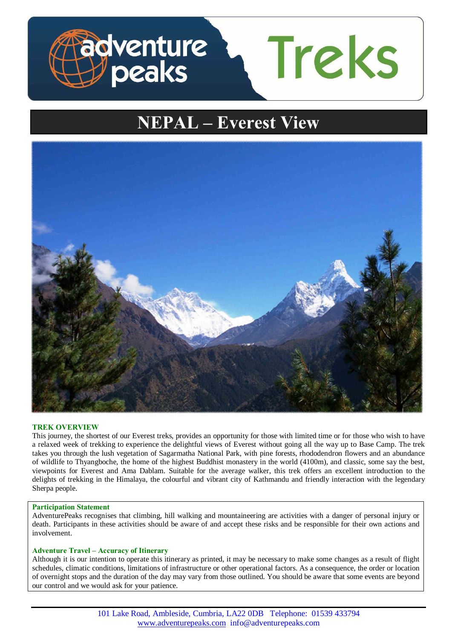

# **NEPAL – Everest View**



# **TREK OVERVIEW**

This journey, the shortest of our Everest treks, provides an opportunity for those with limited time or for those who wish to have a relaxed week of trekking to experience the delightful views of Everest without going all the way up to Base Camp. The trek takes you through the lush vegetation of Sagarmatha National Park, with pine forests, rhododendron flowers and an abundance of wildlife to Thyangboche, the home of the highest Buddhist monastery in the world (4100m), and classic, some say the best, viewpoints for Everest and Ama Dablam. Suitable for the average walker, this trek offers an excellent introduction to the delights of trekking in the Himalaya, the colourful and vibrant city of Kathmandu and friendly interaction with the legendary Sherpa people.

#### **Participation Statement**

AdventurePeaks recognises that climbing, hill walking and mountaineering are activities with a danger of personal injury or death. Participants in these activities should be aware of and accept these risks and be responsible for their own actions and involvement.

## **Adventure Travel – Accuracy of Itinerary**

Although it is our intention to operate this itinerary as printed, it may be necessary to make some changes as a result of flight schedules, climatic conditions, limitations of infrastructure or other operational factors. As a consequence, the order or location of overnight stops and the duration of the day may vary from those outlined. You should be aware that some events are beyond our control and we would ask for your patience.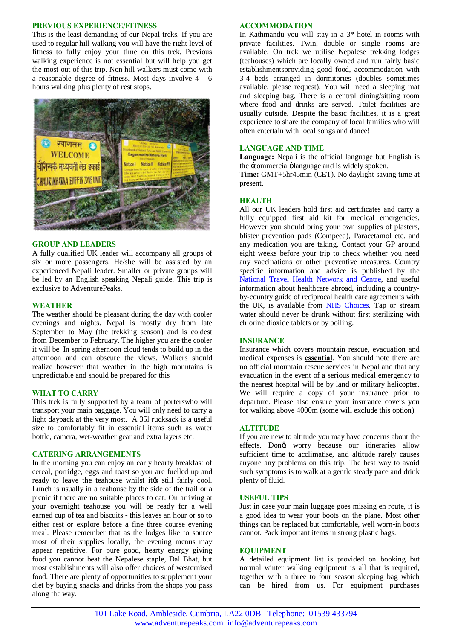#### **PREVIOUS EXPERIENCE/FITNESS**

This is the least demanding of our Nepal treks. If you are used to regular hill walking you will have the right level of fitness to fully enjoy your time on this trek. Previous walking experience is not essential but will help you get the most out of this trip. Non hill walkers must come with a reasonable degree of fitness. Most days involve 4 - 6 hours walking plus plenty of rest stops.



#### **GROUP AND LEADERS**

A fully qualified UK leader will accompany all groups of six or more passengers. He/she will be assisted by an experienced Nepali leader. Smaller or private groups will be led by an English speaking Nepali guide. This trip is exclusive to AdventurePeaks.

#### **WEATHER**

The weather should be pleasant during the day with cooler evenings and nights. Nepal is mostly dry from late September to May (the trekking season) and is coldest from December to February. The higher you are the cooler it will be. In spring afternoon cloud tends to build up in the afternoon and can obscure the views. Walkers should realize however that weather in the high mountains is unpredictable and should be prepared for this

# **WHAT TO CARRY**

This trek is fully supported by a team of porterswho will transport your main baggage. You will only need to carry a light daypack at the very most. A 35l rucksack is a useful size to comfortably fit in essential items such as water bottle, camera, wet-weather gear and extra layers etc.

## **CATERING ARRANGEMENTS**

In the morning you can enjoy an early hearty breakfast of cereal, porridge, eggs and toast so you are fuelled up and ready to leave the teahouse whilst it to still fairly cool. Lunch is usually in a teahouse by the side of the trail or a picnic if there are no suitable places to eat. On arriving at your overnight teahouse you will be ready for a well earned cup of tea and biscuits - this leaves an hour or so to either rest or explore before a fine three course evening meal. Please remember that as the lodges like to source most of their supplies locally, the evening menus may appear repetitive. For pure good, hearty energy giving food you cannot beat the Nepalese staple, Dal Bhat, but most establishments will also offer choices of westernised food. There are plenty of opportunities to supplement your diet by buying snacks and drinks from the shops you pass along the way.

# **ACCOMMODATION**

In Kathmandu you will stay in a 3\* hotel in rooms with private facilities. Twin, double or single rooms are available. On trek we utilise Nepalese trekking lodges (teahouses) which are locally owned and run fairly basic establishmentsproviding good food, accommodation with 3-4 beds arranged in dormitories (doubles sometimes available, please request). You will need a sleeping mat and sleeping bag. There is a central dining/sitting room where food and drinks are served. Toilet facilities are usually outside. Despite the basic facilities, it is a great experience to share the company of local families who will often entertain with local songs and dance!

## **LANGUAGE AND TIME**

**Language:** Nepali is the official language but English is the  $\pm$ commercial $\phi$  language and is widely spoken.

**Time:** GMT+5hr45min (CET). No daylight saving time at present.

## **HEALTH**

All our UK leaders hold first aid certificates and carry a fully equipped first aid kit for medical emergencies. However you should bring your own supplies of plasters, blister prevention pads (Compeed), Paracetamol etc. and any medication you are taking. Contact your GP around eight weeks before your trip to check whether you need any vaccinations or other preventive measures. Country specific information and advice is published by the [National Travel Health Network](http://www.nathnac.org/ds/map_world.aspx) and Centre, and useful information about healthcare abroad, including a countryby-country guide of reciprocal health care agreements with the UK, is available from [NHS Choices.](http://www.nhs.uk/NHSEngland/Healthcareabroad/countryguide/NonEEAcountries/Pages/Non-EEAcountries.aspx) Tap or stream water should never be drunk without first sterilizing with chlorine dioxide tablets or by boiling.

#### **INSURANCE**

Insurance which covers mountain rescue, evacuation and medical expenses is **essential**. You should note there are no official mountain rescue services in Nepal and that any evacuation in the event of a serious medical emergency to the nearest hospital will be by land or military helicopter. We will require a copy of your insurance prior to departure. Please also ensure your insurance covers you for walking above 4000m (some will exclude this option).

#### **ALTITUDE**

If you are new to altitude you may have concerns about the effects. Dongt worry because our itineraries allow sufficient time to acclimatise, and altitude rarely causes anyone any problems on this trip. The best way to avoid such symptoms is to walk at a gentle steady pace and drink plenty of fluid.

### **USEFUL TIPS**

Just in case your main luggage goes missing en route, it is a good idea to wear your boots on the plane. Most other things can be replaced but comfortable, well worn-in boots cannot. Pack important items in strong plastic bags.

#### **EQUIPMENT**

A detailed equipment list is provided on booking but normal winter walking equipment is all that is required, together with a three to four season sleeping bag which can be hired from us. For equipment purchases

101 Lake Road, Ambleside, Cumbria, LA22 0DB Telephone: 01539 433794 www.adventurepeaks.com info@adventurepeaks.com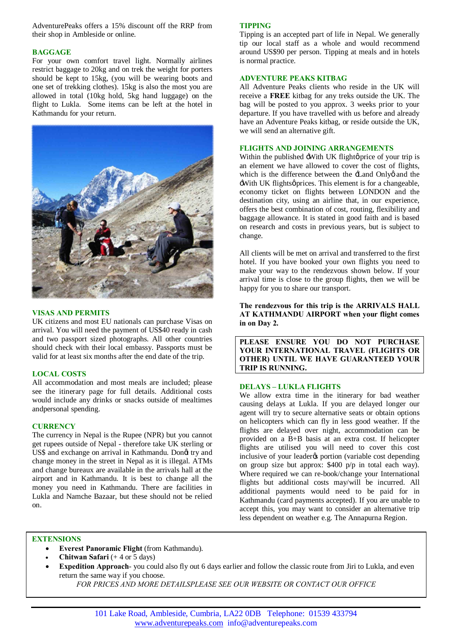AdventurePeaks offers a 15% discount off the RRP from their shop in Ambleside or online.

# **BAGGAGE**

For your own comfort travel light. Normally airlines restrict baggage to 20kg and on trek the weight for porters should be kept to 15kg, (you will be wearing boots and one set of trekking clothes). 15kg is also the most you are allowed in total (10kg hold, 5kg hand luggage) on the flight to Lukla. Some items can be left at the hotel in Kathmandu for your return.



## **VISAS AND PERMITS**

UK citizens and most EU nationals can purchase Visas on arrival. You will need the payment of US\$40 ready in cash and two passport sized photographs. All other countries should check with their local embassy. Passports must be valid for at least six months after the end date of the trip.

# **LOCAL COSTS**

All accommodation and most meals are included; please see the itinerary page for full details. Additional costs would include any drinks or snacks outside of mealtimes andpersonal spending.

#### **CURRENCY**

The currency in Nepal is the Rupee (NPR) but you cannot get rupees outside of Nepal - therefore take UK sterling or US\$ and exchange on arrival in Kathmandu. Dongt try and change money in the street in Nepal as it is illegal. ATMs and change bureaux are available in the arrivals hall at the airport and in Kathmandu. It is best to change all the money you need in Kathmandu. There are facilities in Lukla and Namche Bazaar, but these should not be relied on.

# **TIPPING**

Tipping is an accepted part of life in Nepal. We generally tip our local staff as a whole and would recommend around US\$90 per person. Tipping at meals and in hotels is normal practice.

## **ADVENTURE PEAKS KITBAG**

All Adventure Peaks clients who reside in the UK will receive a **FREE** kitbag for any treks outside the UK. The bag will be posted to you approx. 3 weeks prior to your departure. If you have travelled with us before and already have an Adventure Peaks kitbag, or reside outside the UK, we will send an alternative gift.

## **FLIGHTS AND JOINING ARRANGEMENTS**

Within the published :With UK flight  $\phi$  price of your trip is an element we have allowed to cover the cost of flights, which is the difference between the  $\pm$  and Onlyg and the -With UK flights oprices. This element is for a changeable, economy ticket on flights between LONDON and the destination city, using an airline that, in our experience, offers the best combination of cost, routing, flexibility and baggage allowance. It is stated in good faith and is based on research and costs in previous years, but is subject to change.

All clients will be met on arrival and transferred to the first hotel. If you have booked your own flights you need to make your way to the rendezvous shown below. If your arrival time is close to the group flights, then we will be happy for you to share our transport.

**The rendezvous for this trip is the ARRIVALS HALL AT KATHMANDU AIRPORT when your flight comes in on Day 2.** 

**PLEASE ENSURE YOU DO NOT PURCHASE YOUR INTERNATIONAL TRAVEL (FLIGHTS OR OTHER) UNTIL WE HAVE GUARANTEED YOUR TRIP IS RUNNING.**

# **DELAYS – LUKLA FLIGHTS**

We allow extra time in the itinerary for bad weather causing delays at Lukla. If you are delayed longer our agent will try to secure alternative seats or obtain options on helicopters which can fly in less good weather. If the flights are delayed over night, accommodation can be provided on a B+B basis at an extra cost. If helicopter flights are utilised you will need to cover this cost inclusive of your leader<sub>*o*s</sub> portion (variable cost depending on group size but approx: \$400 p/p in total each way). Where required we can re-book/change your International flights but additional costs may/will be incurred. All additional payments would need to be paid for in Kathmandu (card payments accepted). If you are unable to accept this, you may want to consider an alternative trip less dependent on weather e.g. The Annapurna Region.

# **EXTENSIONS**

- · **Everest Panoramic Flight** (from Kathmandu).
- · **Chitwan Safari** (+ 4 or 5 days)
- **Expedition Approach** you could also fly out 6 days earlier and follow the classic route from Jiri to Lukla, and even return the same way if you choose.
	- *FOR PRICES AND MORE DETAILSPLEASE SEE OUR WEBSITE OR CONTACT OUR OFFICE*